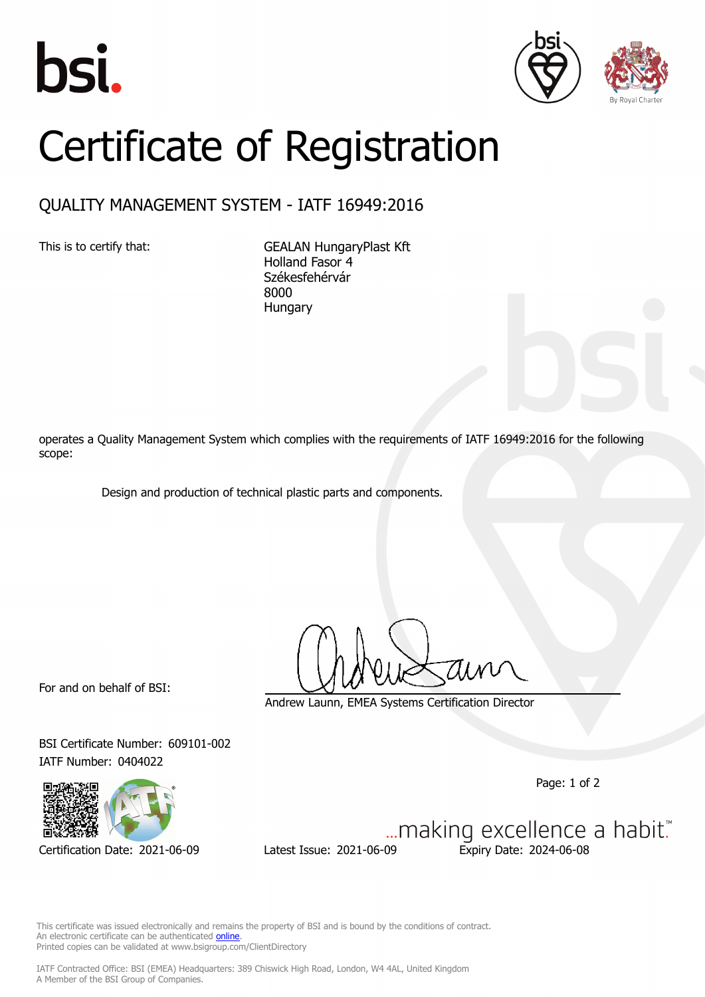





## Certificate of Registration

## QUALITY MANAGEMENT SYSTEM - IATF 16949:2016

This is to certify that: GEALAN HungaryPlast Kft Holland Fasor 4 Székesfehérvár 8000 **Hungary** 

operates a Quality Management System which complies with the requirements of IATF 16949:2016 for the following scope:

Design and production of technical plastic parts and components.

For and on behalf of BSI:

Andrew Launn, EMEA Systems Certification Director

BSI Certificate Number: 609101-002 IATF Number: 0404022

Page: 1 of 2



Certification Date: 2021-06-09 Latest Issue: 2021-06-09 Expiry Date: 2024-06-08

... making excellence a habit."

This certificate was issued electronically and remains the property of BSI and is bound by the conditions of contract. An electronic certificate can be authenticated **[online](https://pgplus.bsigroup.com/CertificateValidation/CertificateValidator.aspx?CertificateNumber=TS+609101-002&ReIssueDate=09%2f06%2f2021&Template=cemea_en)** Printed copies can be validated at www.bsigroup.com/ClientDirectory

IATF Contracted Office: BSI (EMEA) Headquarters: 389 Chiswick High Road, London, W4 4AL, United Kingdom A Member of the BSI Group of Companies.